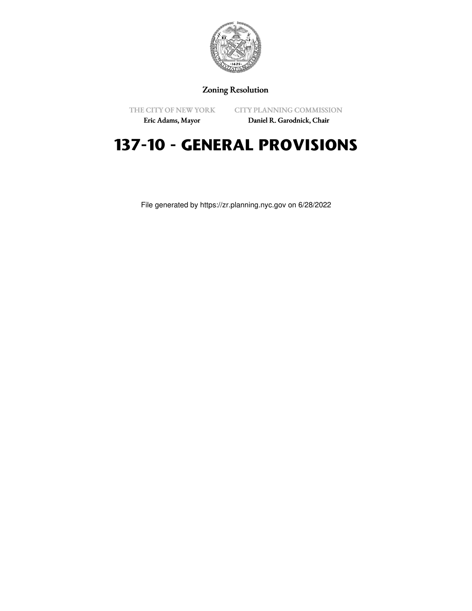

## Zoning Resolution

THE CITY OF NEW YORK

CITY PLANNING COMMISSION

Eric Adams, Mayor

Daniel R. Garodnick, Chair

# **137-10 - GENERAL PROVISIONS**

File generated by https://zr.planning.nyc.gov on 6/28/2022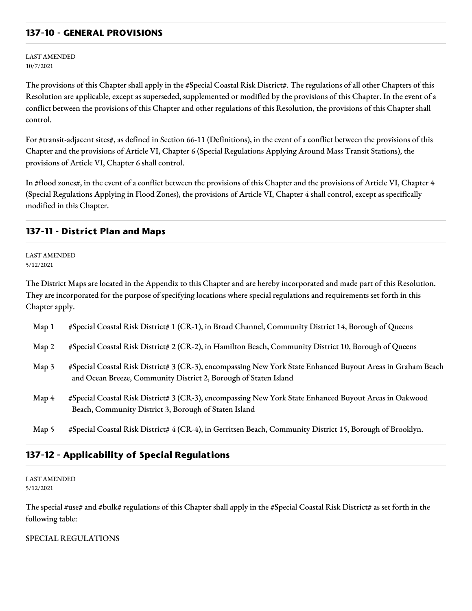#### **137-10 - GENERAL PROVISIONS**

LAST AMENDED 10/7/2021

The provisions of this Chapter shall apply in the #Special Coastal Risk District#. The regulations of all other Chapters of this Resolution are applicable, except as superseded, supplemented or modified by the provisions of this Chapter. In the event of a conflict between the provisions of this Chapter and other regulations of this Resolution, the provisions of this Chapter shall control.

For #transit-adjacent sites#, as defined in Section 66-11 (Definitions), in the event of a conflict between the provisions of this Chapter and the provisions of Article VI, Chapter 6 (Special Regulations Applying Around Mass Transit Stations), the provisions of Article VI, Chapter 6 shall control.

In #flood zones#, in the event of a conflict between the provisions of this Chapter and the provisions of Article VI, Chapter 4 (Special Regulations Applying in Flood Zones), the provisions of Article VI, Chapter 4 shall control, except as specifically modified in this Chapter.

#### **137-11 - District Plan and Maps**

LAST AMENDED 5/12/2021

The District Maps are located in the Appendix to this Chapter and are hereby incorporated and made part of this Resolution. They are incorporated for the purpose of specifying locations where special regulations and requirements set forth in this Chapter apply.

| Map <sub>1</sub> | #Special Coastal Risk District# 1 (CR-1), in Broad Channel, Community District 14, Borough of Queens                                                                            |
|------------------|---------------------------------------------------------------------------------------------------------------------------------------------------------------------------------|
| Map 2            | #Special Coastal Risk District# 2 (CR-2), in Hamilton Beach, Community District 10, Borough of Queens                                                                           |
| Map 3            | #Special Coastal Risk District# 3 (CR-3), encompassing New York State Enhanced Buyout Areas in Graham Beach<br>and Ocean Breeze, Community District 2, Borough of Staten Island |
| Map 4            | #Special Coastal Risk District# 3 (CR-3), encompassing New York State Enhanced Buyout Areas in Oakwood<br>Beach, Community District 3, Borough of Staten Island                 |
| Map 5            | #Special Coastal Risk District# 4 (CR-4), in Gerritsen Beach, Community District 15, Borough of Brooklyn.                                                                       |

### **137-12 - Applicability of Special Regulations**

LAST AMENDED 5/12/2021

The special #use# and #bulk# regulations of this Chapter shall apply in the #Special Coastal Risk District# as set forth in the following table:

SPECIAL REGULATIONS